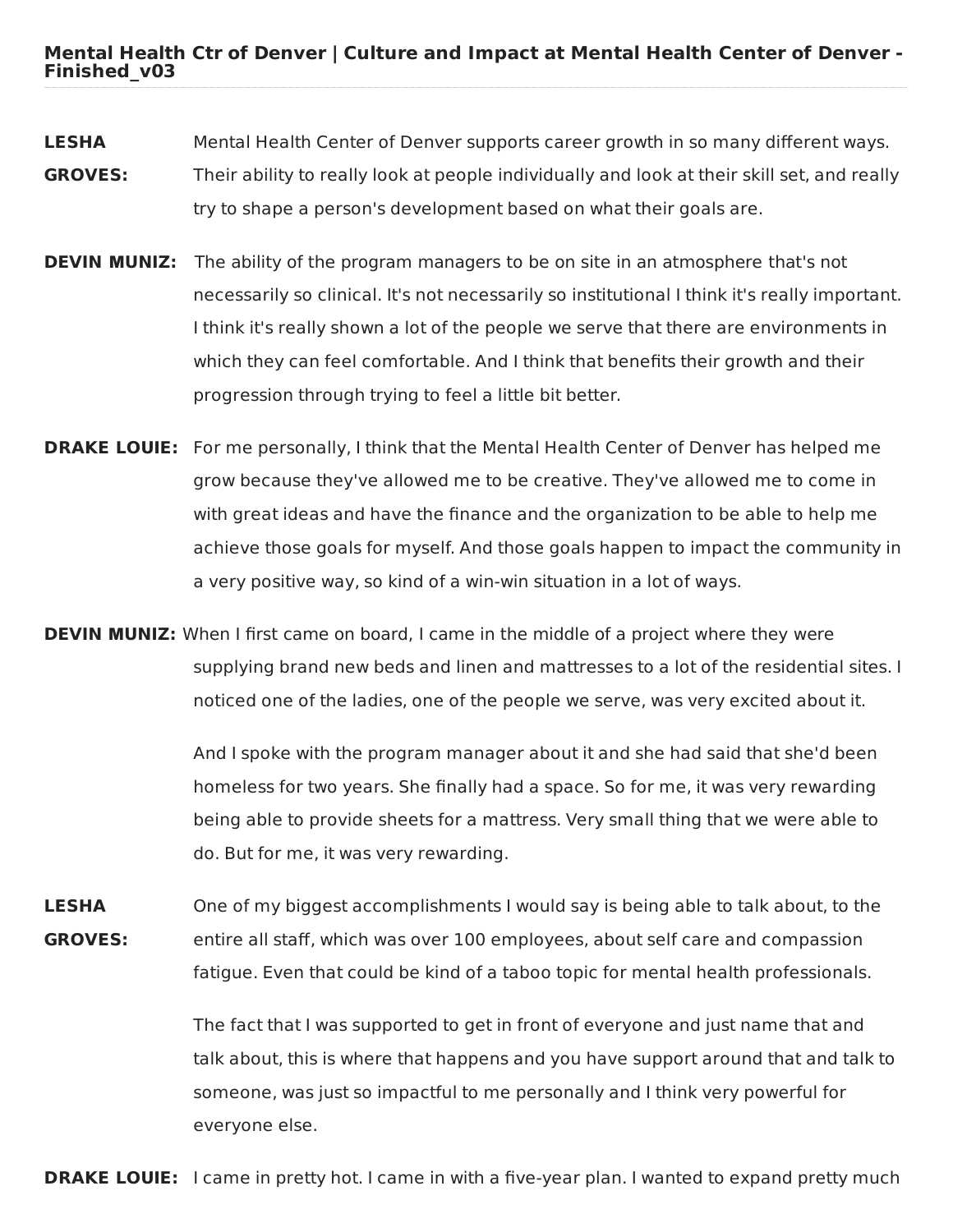**Mental Health Ctr of Denver | Culture and Impact at Mental Health Center of Denver - Finished\_v03**

- **LESHA GROVES:** Mental Health Center of Denver supports career growth in so many different ways. Their ability to really look at people individually and look at their skill set, and really try to shape a person's development based on what their goals are.
- **DEVIN MUNIZ:** The ability of the program managers to be on site in an atmosphere that's not necessarily so clinical. It's not necessarily so institutional I think it's really important. I think it's really shown a lot of the people we serve that there are environments in which they can feel comfortable. And I think that benefits their growth and their progression through trying to feel a little bit better.
- **DRAKE LOUIE:** For me personally, I think that the Mental Health Center of Denver has helped me grow because they've allowed me to be creative. They've allowed me to come in with great ideas and have the finance and the organization to be able to help me achieve those goals for myself. And those goals happen to impact the community in a very positive way, so kind of a win-win situation in a lot of ways.
- **DEVIN MUNIZ:** When I first came on board, I came in the middle of a project where they were supplying brand new beds and linen and mattresses to a lot of the residential sites. I noticed one of the ladies, one of the people we serve, was very excited about it.

And I spoke with the program manager about it and she had said that she'd been homeless for two years. She finally had a space. So for me, it was very rewarding being able to provide sheets for a mattress. Very small thing that we were able to do. But for me, it was very rewarding.

**LESHA GROVES:** One of my biggest accomplishments I would say is being able to talk about, to the entire all staff, which was over 100 employees, about self care and compassion fatigue. Even that could be kind of a taboo topic for mental health professionals.

> The fact that I was supported to get in front of everyone and just name that and talk about, this is where that happens and you have support around that and talk to someone, was just so impactful to me personally and I think very powerful for everyone else.

**DRAKE LOUIE:** I came in pretty hot. I came in with a five-year plan. I wanted to expand pretty much